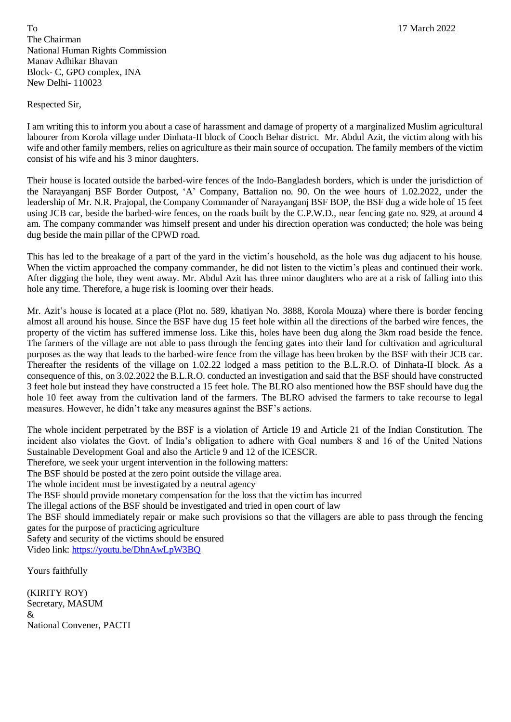To 17 March 2022 The Chairman National Human Rights Commission Manav Adhikar Bhavan Block- C, GPO complex, INA New Delhi- 110023

Respected Sir,

I am writing this to inform you about a case of harassment and damage of property of a marginalized Muslim agricultural labourer from Korola village under Dinhata-II block of Cooch Behar district. Mr. Abdul Azit, the victim along with his wife and other family members, relies on agriculture as their main source of occupation. The family members of the victim consist of his wife and his 3 minor daughters.

Their house is located outside the barbed-wire fences of the Indo-Bangladesh borders, which is under the jurisdiction of the Narayanganj BSF Border Outpost, 'A' Company, Battalion no. 90. On the wee hours of 1.02.2022, under the leadership of Mr. N.R. Prajopal, the Company Commander of Narayanganj BSF BOP, the BSF dug a wide hole of 15 feet using JCB car, beside the barbed-wire fences, on the roads built by the C.P.W.D., near fencing gate no. 929, at around 4 am. The company commander was himself present and under his direction operation was conducted; the hole was being dug beside the main pillar of the CPWD road.

This has led to the breakage of a part of the yard in the victim's household, as the hole was dug adjacent to his house. When the victim approached the company commander, he did not listen to the victim's pleas and continued their work. After digging the hole, they went away. Mr. Abdul Azit has three minor daughters who are at a risk of falling into this hole any time. Therefore, a huge risk is looming over their heads.

Mr. Azit's house is located at a place (Plot no. 589, khatiyan No. 3888, Korola Mouza) where there is border fencing almost all around his house. Since the BSF have dug 15 feet hole within all the directions of the barbed wire fences, the property of the victim has suffered immense loss. Like this, holes have been dug along the 3km road beside the fence. The farmers of the village are not able to pass through the fencing gates into their land for cultivation and agricultural purposes as the way that leads to the barbed-wire fence from the village has been broken by the BSF with their JCB car. Thereafter the residents of the village on 1.02.22 lodged a mass petition to the B.L.R.O. of Dinhata-II block. As a consequence of this, on 3.02.2022 the B.L.R.O. conducted an investigation and said that the BSF should have constructed 3 feet hole but instead they have constructed a 15 feet hole. The BLRO also mentioned how the BSF should have dug the hole 10 feet away from the cultivation land of the farmers. The BLRO advised the farmers to take recourse to legal measures. However, he didn't take any measures against the BSF's actions.

The whole incident perpetrated by the BSF is a violation of Article 19 and Article 21 of the Indian Constitution. The incident also violates the Govt. of India's obligation to adhere with Goal numbers 8 and 16 of the United Nations Sustainable Development Goal and also the Article 9 and 12 of the ICESCR.

Therefore, we seek your urgent intervention in the following matters:

The BSF should be posted at the zero point outside the village area.

The whole incident must be investigated by a neutral agency

The BSF should provide monetary compensation for the loss that the victim has incurred

The illegal actions of the BSF should be investigated and tried in open court of law

The BSF should immediately repair or make such provisions so that the villagers are able to pass through the fencing gates for the purpose of practicing agriculture

Safety and security of the victims should be ensured

Video link: <https://youtu.be/DhnAwLpW3BQ>

Yours faithfully

(KIRITY ROY) Secretary, MASUM & National Convener, PACTI